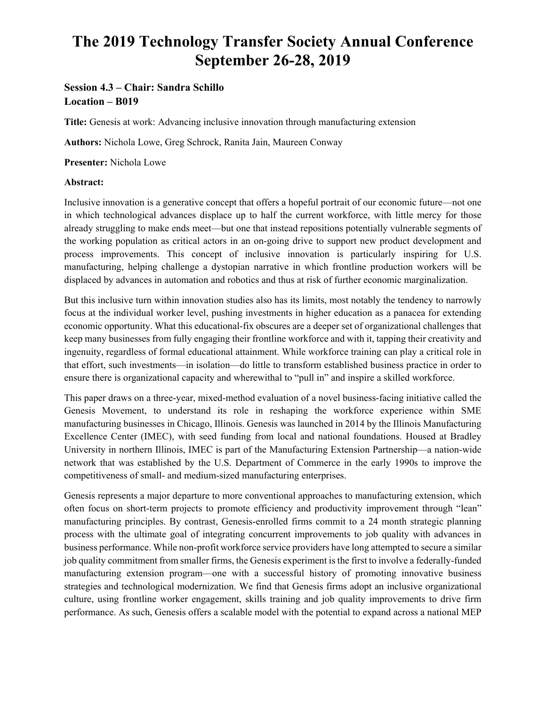# **The 2019 Technology Transfer Society Annual Conference September 26-28, 2019**

# **Session 4.3 – Chair: Sandra Schillo Location – B019**

**Title:** Genesis at work: Advancing inclusive innovation through manufacturing extension

**Authors:** Nichola Lowe, Greg Schrock, Ranita Jain, Maureen Conway

**Presenter:** Nichola Lowe

# **Abstract:**

Inclusive innovation is a generative concept that offers a hopeful portrait of our economic future—not one in which technological advances displace up to half the current workforce, with little mercy for those already struggling to make ends meet—but one that instead repositions potentially vulnerable segments of the working population as critical actors in an on-going drive to support new product development and process improvements. This concept of inclusive innovation is particularly inspiring for U.S. manufacturing, helping challenge a dystopian narrative in which frontline production workers will be displaced by advances in automation and robotics and thus at risk of further economic marginalization.

But this inclusive turn within innovation studies also has its limits, most notably the tendency to narrowly focus at the individual worker level, pushing investments in higher education as a panacea for extending economic opportunity. What this educational-fix obscures are a deeper set of organizational challenges that keep many businesses from fully engaging their frontline workforce and with it, tapping their creativity and ingenuity, regardless of formal educational attainment. While workforce training can play a critical role in that effort, such investments—in isolation—do little to transform established business practice in order to ensure there is organizational capacity and wherewithal to "pull in" and inspire a skilled workforce.

This paper draws on a three-year, mixed-method evaluation of a novel business-facing initiative called the Genesis Movement, to understand its role in reshaping the workforce experience within SME manufacturing businesses in Chicago, Illinois. Genesis was launched in 2014 by the Illinois Manufacturing Excellence Center (IMEC), with seed funding from local and national foundations. Housed at Bradley University in northern Illinois, IMEC is part of the Manufacturing Extension Partnership—a nation-wide network that was established by the U.S. Department of Commerce in the early 1990s to improve the competitiveness of small- and medium-sized manufacturing enterprises.

Genesis represents a major departure to more conventional approaches to manufacturing extension, which often focus on short-term projects to promote efficiency and productivity improvement through "lean" manufacturing principles. By contrast, Genesis-enrolled firms commit to a 24 month strategic planning process with the ultimate goal of integrating concurrent improvements to job quality with advances in business performance. While non-profit workforce service providers have long attempted to secure a similar job quality commitment from smaller firms, the Genesis experiment is the first to involve a federally-funded manufacturing extension program—one with a successful history of promoting innovative business strategies and technological modernization. We find that Genesis firms adopt an inclusive organizational culture, using frontline worker engagement, skills training and job quality improvements to drive firm performance. As such, Genesis offers a scalable model with the potential to expand across a national MEP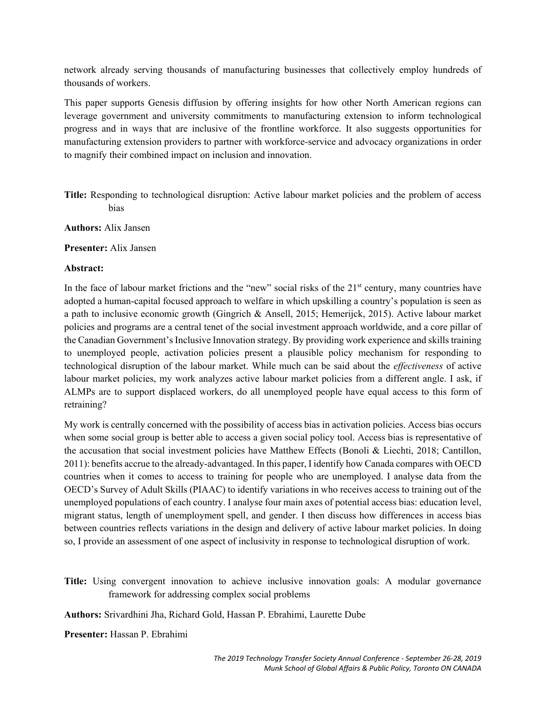network already serving thousands of manufacturing businesses that collectively employ hundreds of thousands of workers.

This paper supports Genesis diffusion by offering insights for how other North American regions can leverage government and university commitments to manufacturing extension to inform technological progress and in ways that are inclusive of the frontline workforce. It also suggests opportunities for manufacturing extension providers to partner with workforce-service and advocacy organizations in order to magnify their combined impact on inclusion and innovation.

**Title:** Responding to technological disruption: Active labour market policies and the problem of access bias

**Authors:** Alix Jansen

**Presenter:** Alix Jansen

#### **Abstract:**

In the face of labour market frictions and the "new" social risks of the  $21<sup>st</sup>$  century, many countries have adopted a human-capital focused approach to welfare in which upskilling a country's population is seen as a path to inclusive economic growth (Gingrich & Ansell, 2015; Hemerijck, 2015). Active labour market policies and programs are a central tenet of the social investment approach worldwide, and a core pillar of the Canadian Government's Inclusive Innovation strategy. By providing work experience and skills training to unemployed people, activation policies present a plausible policy mechanism for responding to technological disruption of the labour market. While much can be said about the *effectiveness* of active labour market policies, my work analyzes active labour market policies from a different angle. I ask, if ALMPs are to support displaced workers, do all unemployed people have equal access to this form of retraining?

My work is centrally concerned with the possibility of access bias in activation policies. Access bias occurs when some social group is better able to access a given social policy tool. Access bias is representative of the accusation that social investment policies have Matthew Effects (Bonoli & Liechti, 2018; Cantillon, 2011): benefits accrue to the already-advantaged. In this paper, I identify how Canada compares with OECD countries when it comes to access to training for people who are unemployed. I analyse data from the OECD's Survey of Adult Skills (PIAAC) to identify variations in who receives access to training out of the unemployed populations of each country. I analyse four main axes of potential access bias: education level, migrant status, length of unemployment spell, and gender. I then discuss how differences in access bias between countries reflects variations in the design and delivery of active labour market policies. In doing so, I provide an assessment of one aspect of inclusivity in response to technological disruption of work.

**Title:** Using convergent innovation to achieve inclusive innovation goals: A modular governance framework for addressing complex social problems

**Authors:** Srivardhini Jha, Richard Gold, Hassan P. Ebrahimi, Laurette Dube

**Presenter:** Hassan P. Ebrahimi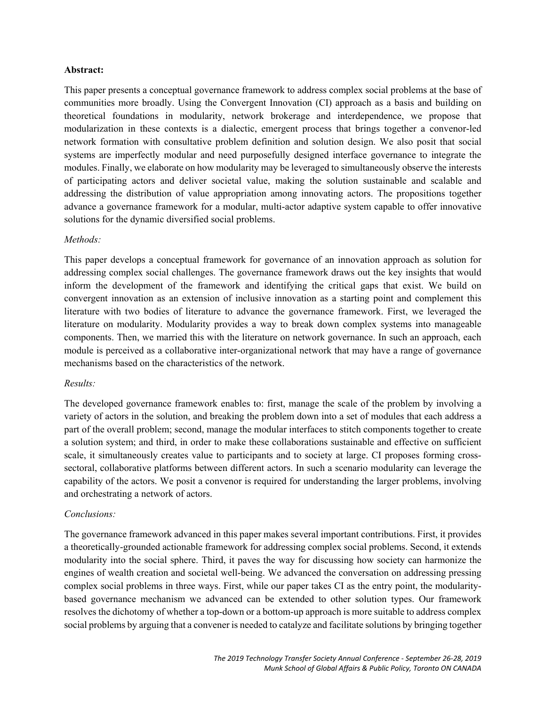#### **Abstract:**

This paper presents a conceptual governance framework to address complex social problems at the base of communities more broadly. Using the Convergent Innovation (CI) approach as a basis and building on theoretical foundations in modularity, network brokerage and interdependence, we propose that modularization in these contexts is a dialectic, emergent process that brings together a convenor-led network formation with consultative problem definition and solution design. We also posit that social systems are imperfectly modular and need purposefully designed interface governance to integrate the modules. Finally, we elaborate on how modularity may be leveraged to simultaneously observe the interests of participating actors and deliver societal value, making the solution sustainable and scalable and addressing the distribution of value appropriation among innovating actors. The propositions together advance a governance framework for a modular, multi-actor adaptive system capable to offer innovative solutions for the dynamic diversified social problems.

# *Methods:*

This paper develops a conceptual framework for governance of an innovation approach as solution for addressing complex social challenges. The governance framework draws out the key insights that would inform the development of the framework and identifying the critical gaps that exist. We build on convergent innovation as an extension of inclusive innovation as a starting point and complement this literature with two bodies of literature to advance the governance framework. First, we leveraged the literature on modularity. Modularity provides a way to break down complex systems into manageable components. Then, we married this with the literature on network governance. In such an approach, each module is perceived as a collaborative inter-organizational network that may have a range of governance mechanisms based on the characteristics of the network.

# *Results:*

The developed governance framework enables to: first, manage the scale of the problem by involving a variety of actors in the solution, and breaking the problem down into a set of modules that each address a part of the overall problem; second, manage the modular interfaces to stitch components together to create a solution system; and third, in order to make these collaborations sustainable and effective on sufficient scale, it simultaneously creates value to participants and to society at large. CI proposes forming crosssectoral, collaborative platforms between different actors. In such a scenario modularity can leverage the capability of the actors. We posit a convenor is required for understanding the larger problems, involving and orchestrating a network of actors.

# *Conclusions:*

The governance framework advanced in this paper makes several important contributions. First, it provides a theoretically-grounded actionable framework for addressing complex social problems. Second, it extends modularity into the social sphere. Third, it paves the way for discussing how society can harmonize the engines of wealth creation and societal well-being. We advanced the conversation on addressing pressing complex social problems in three ways. First, while our paper takes CI as the entry point, the modularitybased governance mechanism we advanced can be extended to other solution types. Our framework resolves the dichotomy of whether a top-down or a bottom-up approach is more suitable to address complex social problems by arguing that a convener is needed to catalyze and facilitate solutions by bringing together